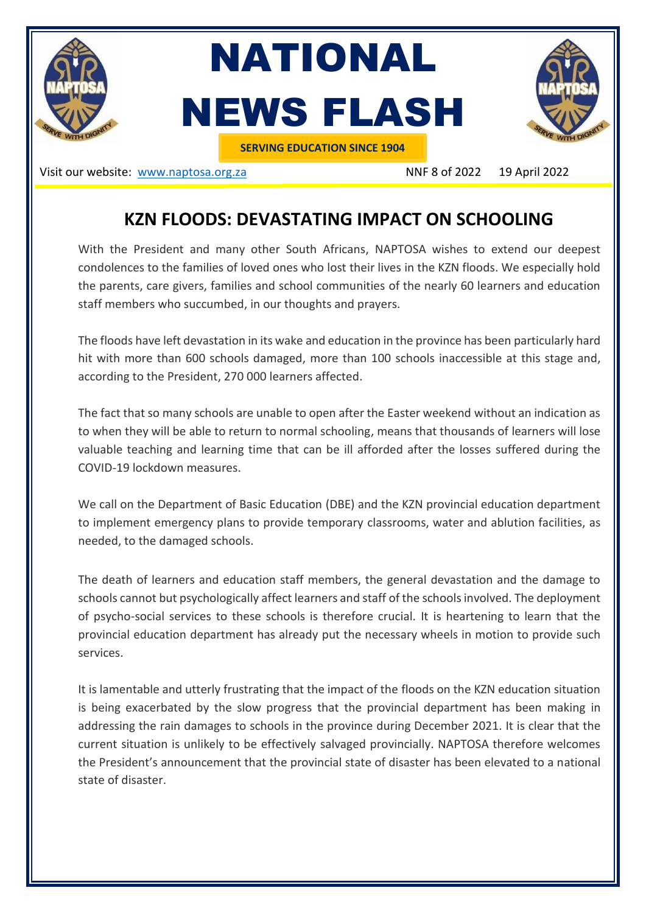

Visit our website: [www.naptosa.org.za](http://www.naptosa.org.za/) NNF 8 of 2022 19 April 2022

## **KZN FLOODS: DEVASTATING IMPACT ON SCHOOLING**

With the President and many other South Africans, NAPTOSA wishes to extend our deepest condolences to the families of loved ones who lost their lives in the KZN floods. We especially hold the parents, care givers, families and school communities of the nearly 60 learners and education staff members who succumbed, in our thoughts and prayers.

The floods have left devastation in its wake and education in the province has been particularly hard hit with more than 600 schools damaged, more than 100 schools inaccessible at this stage and, according to the President, 270 000 learners affected.

The fact that so many schools are unable to open after the Easter weekend without an indication as to when they will be able to return to normal schooling, means that thousands of learners will lose valuable teaching and learning time that can be ill afforded after the losses suffered during the COVID-19 lockdown measures.

We call on the Department of Basic Education (DBE) and the KZN provincial education department to implement emergency plans to provide temporary classrooms, water and ablution facilities, as needed, to the damaged schools.

The death of learners and education staff members, the general devastation and the damage to schools cannot but psychologically affect learners and staff of the schools involved. The deployment of psycho-social services to these schools is therefore crucial. It is heartening to learn that the provincial education department has already put the necessary wheels in motion to provide such services.

It is lamentable and utterly frustrating that the impact of the floods on the KZN education situation is being exacerbated by the slow progress that the provincial department has been making in addressing the rain damages to schools in the province during December 2021. It is clear that the current situation is unlikely to be effectively salvaged provincially. NAPTOSA therefore welcomes the President's announcement that the provincial state of disaster has been elevated to a national state of disaster.